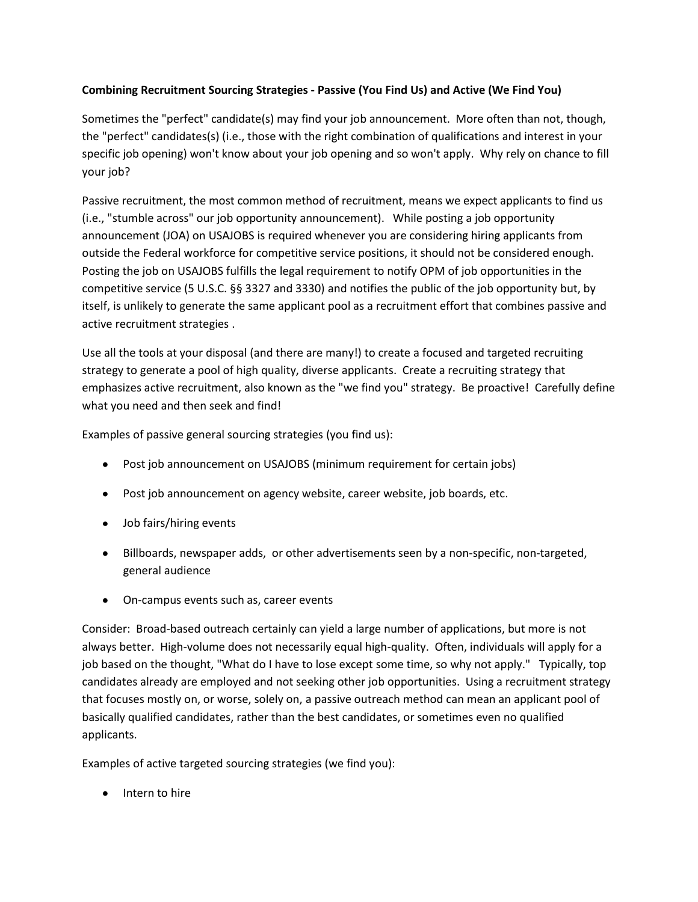## **Combining Recruitment Sourcing Strategies - Passive (You Find Us) and Active (We Find You)**

Sometimes the "perfect" candidate(s) may find your job announcement. More often than not, though, the "perfect" candidates(s) (i.e., those with the right combination of qualifications and interest in your specific job opening) won't know about your job opening and so won't apply. Why rely on chance to fill your job?

Passive recruitment, the most common method of recruitment, means we expect applicants to find us (i.e., "stumble across" our job opportunity announcement). While posting a job opportunity announcement (JOA) on USAJOBS is required whenever you are considering hiring applicants from outside the Federal workforce for competitive service positions, it should not be considered enough. Posting the job on USAJOBS fulfills the legal requirement to notify OPM of job opportunities in the competitive service (5 U.S.C. §§ 3327 and 3330) and notifies the public of the job opportunity but, by itself, is unlikely to generate the same applicant pool as a recruitment effort that combines passive and active recruitment strategies .

Use all the tools at your disposal (and there are many!) to create a focused and targeted recruiting strategy to generate a pool of high quality, diverse applicants. Create a recruiting strategy that emphasizes active recruitment, also known as the "we find you" strategy. Be proactive! Carefully define what you need and then seek and find!

Examples of passive general sourcing strategies (you find us):

- Post job announcement on USAJOBS (minimum requirement for certain jobs)
- Post job announcement on agency website, career website, job boards, etc.
- Job fairs/hiring events
- Billboards, newspaper adds, or other advertisements seen by a non-specific, non-targeted, general audience
- On-campus events such as, career events

Consider: Broad-based outreach certainly can yield a large number of applications, but more is not always better. High-volume does not necessarily equal high-quality. Often, individuals will apply for a job based on the thought, "What do I have to lose except some time, so why not apply." Typically, top candidates already are employed and not seeking other job opportunities. Using a recruitment strategy that focuses mostly on, or worse, solely on, a passive outreach method can mean an applicant pool of basically qualified candidates, rather than the best candidates, or sometimes even no qualified applicants.

Examples of active targeted sourcing strategies (we find you):

• Intern to hire